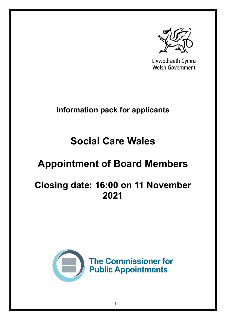

Llywodraeth Cymru **Welsh Government** 

# **Information pack for applicants**

# **Social Care Wales**

# **Appointment of Board Members**

# **Closing date: 16:00 on 11 November 2021**

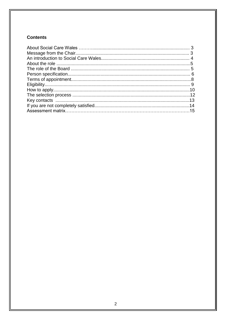# **Contents**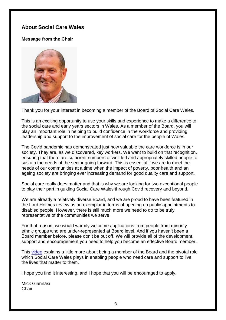# **About Social Care Wales**

# **Message from the Chair**



Thank you for your interest in becoming a member of the Board of Social Care Wales.

This is an exciting opportunity to use your skills and experience to make a difference to the social care and early years sectors in Wales. As a member of the Board, you will play an important role in helping to build confidence in the workforce and providing leadership and support to the improvement of social care for the people of Wales.

The Covid pandemic has demonstrated just how valuable the care workforce is in our society. They are, as we discovered, key workers. We want to build on that recognition, ensuring that there are sufficient numbers of well led and appropriately skilled people to sustain the needs of the sector going forward. This is essential if we are to meet the needs of our communities at a time when the impact of poverty, poor health and an ageing society are bringing ever increasing demand for good quality care and support.

Social care really does matter and that is why we are looking for two exceptional people to play their part in guiding Social Care Wales through Covid recovery and beyond.

We are already a relatively diverse Board, and we are proud to have been featured in the Lord Holmes review as an exemplar in terms of opening up public appointments to disabled people. However, there is still much more we need to do to be truly representative of the communities we serve.

For that reason, we would warmly welcome applications from people from minority ethnic groups who are under-represented at Board level. And if you haven't been a Board member before, please don't be put off. We will provide all of the development, support and encouragement you need to help you become an effective Board member.

This [video](https://youtu.be/ycCkJ_T4Ps0) explains a little more about being a member of the Board and the pivotal role which Social Care Wales plays in enabling people who need care and support to live the lives that matter to them.

I hope you find it interesting, and I hope that you will be encouraged to apply.

Mick Giannasi **Chair**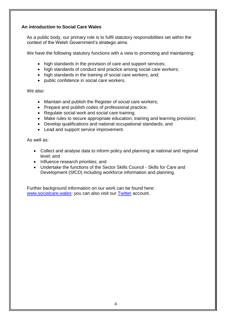# **An introduction to Social Care Wales**

As a public body, our primary role is to fulfil statutory responsibilities set within the context of the Welsh Government's strategic aims.

We have the following statutory functions with a view to promoting and maintaining:

- high standards in the provision of care and support services;
- high standards of conduct and practice among social care workers;
- high standards in the training of social care workers, and;
- public confidence in social care workers.

We also:

- Maintain and publish the Register of social care workers;
- Prepare and publish codes of professional practice;
- Regulate social work and social care training;
- Make rules to secure appropriate education, training and learning provision;
- Develop qualifications and national occupational standards; and
- Lead and support service improvement.

As well as:

- Collect and analyse data to inform policy and planning at national and regional level; and
- Influence research priorities; and
- Undertake the functions of the Sector Skills Council Skills for Care and Development (SfCD) including workforce information and planning.

Further background information on our work can be found here: [www.socialcare.wales;](http://www.socialcare.wales/) you can also visit our [Twitter](https://twitter.com/socialcarewales?lang=en) account.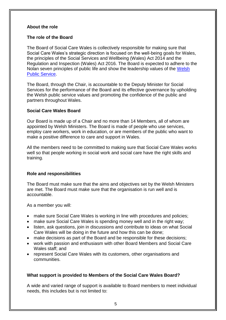#### **About the role**

### **The role of the Board**

The Board of Social Care Wales is collectively responsible for making sure that Social Care Wales's strategic direction is focused on the well-being goals for Wales, the principles of the Social Services and Wellbeing (Wales) Act 2014 and the Regulation and Inspection (Wales) Act 2016. The Board is expected to adhere to the Nolan seven principles of public life and show the leadership values of the [Welsh](https://academiwales.gov.wales/Repository/resource/c1990615-e602-4e58-9d29-309d8b125f0b/en)  [Public Service.](https://academiwales.gov.wales/Repository/resource/c1990615-e602-4e58-9d29-309d8b125f0b/en)

The Board, through the Chair, is accountable to the Deputy Minister for Social Services for the performance of the Board and its effective governance by upholding the Welsh public service values and promoting the confidence of the public and partners throughout Wales.

### **Social Care Wales Board**

Our Board is made up of a Chair and no more than 14 Members, all of whom are appointed by Welsh Ministers. The Board is made of people who use services, employ care workers, work in education, or are members of the public who want to make a positive difference to care and support in Wales.

All the members need to be committed to making sure that Social Care Wales works well so that people working in social work and social care have the right skills and training.

# **Role and responsibilities**

The Board must make sure that the aims and objectives set by the Welsh Ministers are met. The Board must make sure that the organisation is run well and is accountable.

As a member you will:

- make sure Social Care Wales is working in line with procedures and policies;
- make sure Social Care Wales is spending money well and in the right way;
- listen, ask questions, join in discussions and contribute to ideas on what Social Care Wales will be doing in the future and how this can be done;
- make decisions as part of the Board and be responsible for these decisions;
- work with passion and enthusiasm with other Board Members and Social Care Wales staff; and
- represent Social Care Wales with its customers, other organisations and communities.

#### **What support is provided to Members of the Social Care Wales Board?**

A wide and varied range of support is available to Board members to meet individual needs, this includes but is not limited to: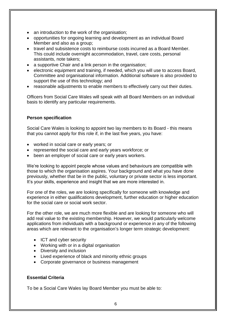- an introduction to the work of the organisation;
- opportunities for ongoing learning and development as an individual Board Member and also as a group;
- travel and subsistence costs to reimburse costs incurred as a Board Member. This could include overnight accommodation, travel, care costs, personal assistants, note takers;
- a supportive Chair and a link person in the organisation;
- electronic equipment and training, if needed, which you will use to access Board, Committee and organisational information. Additional software is also provided to support the use of this technology; and
- reasonable adjustments to enable members to effectively carry out their duties.

Officers from Social Care Wales will speak with all Board Members on an individual basis to identify any particular requirements.

# **Person specification**

Social Care Wales is looking to appoint two lay members to its Board - this means that you cannot apply for this role if, in the last five years, you have:

- worked in social care or early years; or
- represented the social care and early years workforce; or
- been an employer of social care or early years workers.

We're looking to appoint people whose values and behaviours are compatible with those to which the organisation aspires. Your background and what you have done previously, whether that be in the public, voluntary or private sector is less important. It's your skills, experience and insight that we are more interested in.

For one of the roles, we are looking specifically for someone with knowledge and experience in either qualifications development, further education or higher education for the social care or social work sector.

For the other role, we are much more flexible and are looking for someone who will add real value to the existing membership. However, we would particularly welcome applications from individuals with a background or experience in any of the following areas which are relevant to the organisation's longer term strategic development:

- ICT and cyber security
- Working with or in a digital organisation
- Diversity and inclusion
- Lived experience of black and minority ethnic groups
- Corporate governance or business management

# **Essential Criteria**

To be a Social Care Wales lay Board Member you must be able to: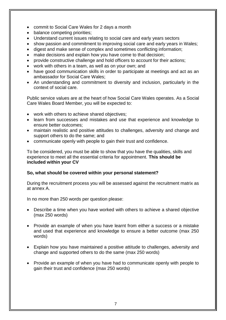- commit to Social Care Wales for 2 days a month
- balance competing priorities;
- Understand current issues relating to social care and early years sectors
- show passion and commitment to improving social care and early years in Wales;
- digest and make sense of complex and sometimes conflicting information;
- make decisions and explain how you have come to that decision;
- provide constructive challenge and hold officers to account for their actions;
- work with others in a team, as well as on your own; and
- have good communication skills in order to participate at meetings and act as an ambassador for Social Care Wales;
- An understanding and commitment to diversity and inclusion, particularly in the context of social care.

Public service values are at the heart of how Social Care Wales operates. As a Social Care Wales Board Member, you will be expected to:

- work with others to achieve shared objectives;
- learn from successes and mistakes and use that experience and knowledge to ensure better outcomes;
- maintain realistic and positive attitudes to challenges, adversity and change and support others to do the same; and
- communicate openly with people to gain their trust and confidence.

To be considered, you must be able to show that you have the qualities, skills and experience to meet all the essential criteria for appointment. **This should be included within your CV**

# **So, what should be covered within your personal statement?**

During the recruitment process you will be assessed against the recruitment matrix as at annex A.

In no more than 250 words per question please:

- Describe a time when you have worked with others to achieve a shared objective (max 250 words)
- Provide an example of when you have learnt from either a success or a mistake and used that experience and knowledge to ensure a better outcome (max 250 words)
- Explain how you have maintained a positive attitude to challenges, adversity and change and supported others to do the same (max 250 words)
- Provide an example of when you have had to communicate openly with people to gain their trust and confidence (max 250 words)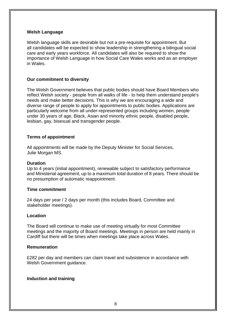#### **Welsh Language**

Welsh language skills are desirable but not a pre-requisite for appointment. But all candidates will be expected to show leadership in strengthening a bilingual social care and early years workforce. All candidates will also be required to show the importance of Welsh Language in how Social Care Wales works and as an employer in Wales.

#### **Our commitment to diversity**

The Welsh Government believes that public bodies should have Board Members who reflect Welsh society - people from all walks of life - to help them understand people's needs and make better decisions. This is why we are encouraging a wide and diverse range of people to apply for appointments to public bodies. Applications are particularly welcome from all under-represented groups including women, people under 30 years of age, Black, Asian and minority ethnic people, disabled people, lesbian, gay, bisexual and transgender people.

#### **Terms of appointment**

All appointments will be made by the Deputy Minister for Social Services, Julie Morgan MS.

#### **Duration**

Up to 4 years (initial appointment), renewable subject to satisfactory performance and Ministerial agreement, up to a maximum total duration of 8 years. There should be no presumption of automatic reappointment.

#### **Time commitment**

24 days per year / 2 days per month (this includes Board, Committee and stakeholder meetings).

#### **Location**

The Board will continue to make use of meeting virtually for most Committee meetings and the majority of Board meetings. Meetings in person are held mainly in Cardiff but there will be times when meetings take place across Wales.

#### **Remuneration**

£282 per day and members can claim travel and subsistence in accordance with Welsh Government guidance.

#### **Induction and training**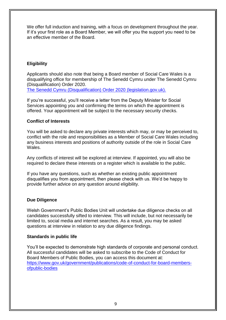We offer full induction and training, with a focus on development throughout the year. If it's your first role as a Board Member, we will offer you the support you need to be an effective member of the Board.

# **Eligibility**

Applicants should also note that being a Board member of Social Care Wales is a disqualifying office for membership of The Senedd Cymru under The Senedd Cymru (Disqualification) Order 2020.

[The Senedd Cymru \(Disqualification\) Order 2020 \(legislation.gov.uk\).](https://www.legislation.gov.uk/uksi/2020/1255/schedule/made)

If you're successful, you'll receive a letter from the Deputy Minister for Social Services appointing you and confirming the terms on which the appointment is offered. Your appointment will be subject to the necessary security checks.

# **Conflict of Interests**

You will be asked to declare any private interests which may, or may be perceived to, conflict with the role and responsibilities as a Member of Social Care Wales including any business interests and positions of authority outside of the role in Social Care Wales.

Any conflicts of interest will be explored at interview. If appointed, you will also be required to declare these interests on a register which is available to the public.

If you have any questions, such as whether an existing public appointment disqualifies you from appointment, then please check with us. We'd be happy to provide further advice on any question around eligibility.

# **Due Diligence**

Welsh Government's Public Bodies Unit will undertake due diligence checks on all candidates successfully sifted to interview. This will include, but not necessarily be limited to, social media and internet searches. As a result, you may be asked questions at interview in relation to any due diligence findings.

# **Standards in public life**

You'll be expected to demonstrate high standards of corporate and personal conduct. All successful candidates will be asked to subscribe to the Code of Conduct for Board Members of Public Bodies, you can access this document at: [https://www.gov.uk/government/publications/code-of-conduct-for-board-members](https://www.gov.uk/government/publications/code-of-conduct-for-board-members-ofpublic-bodies)[ofpublic-bodies](https://www.gov.uk/government/publications/code-of-conduct-for-board-members-ofpublic-bodies)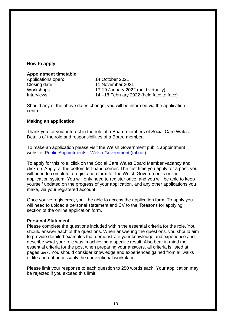#### **How to apply**

#### **Appointment timetable**

Applications open: 14 October 2021 Closing date: 11 November 2021

Workshops: 17-19 January 2022 (held virtually) Interviews: 14 –18 February 2022 (held face to face)

Should any of the above dates change, you will be informed via the application centre.

#### **Making an application**

Thank you for your interest in the role of a Board members of Social Care Wales. Details of the role and responsibilities of a Board member.

To make an application please visit the Welsh Government public appointment website: Public Appointments - [Welsh Government \(tal.net\)](https://cymru-wales.tal.net/vx/lang-en-GB/mobile-0/appcentre-3/brand-2/candidate/jobboard/vacancy/7/adv/)

To apply for this role, click on the Social Care Wales Board Member vacancy and click on 'Apply' at the bottom left-hand corner. The first time you apply for a post, you will need to complete a registration form for the Welsh Government's online application system. You will only need to register once, and you will be able to keep yourself updated on the progress of your application, and any other applications you make, via your registered account.

Once you've registered, you'll be able to access the application form. To apply you will need to upload a personal statement and CV to the 'Reasons for applying' section of the online application form.

#### **Personal Statement**

Please complete the questions included within the essential criteria for the role. You should answer each of the questions. When answering the questions, you should aim to provide detailed examples that demonstrate your knowledge and experience and describe what your role was in achieving a specific result. Also bear in mind the essential criteria for the post when preparing your answers, all criteria is listed at pages 6&7. You should consider knowledge and experiences gained from all walks of life and not necessarily the conventional workplace.

Please limit your response to each question to 250 words each. Your application may be rejected if you exceed this limit.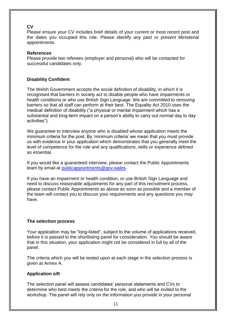# **CV**

Please ensure your CV includes brief details of your current or most recent post and the dates you occupied this role. Please identify any past or present Ministerial appointments.

### **References**

Please provide two referees (employer and personal) who will be contacted for successful candidates only.

# **Disability Confident**

The Welsh Government accepts the social definition of disability, in which it is recognised that barriers in society act to disable people who have impairments or health conditions or who use British Sign Language. We are committed to removing barriers so that all staff can perform at their best. The Equality Act 2010 uses the medical definition of disability ("a physical or mental impairment which has a substantial and long-term impact on a person's ability to carry out normal day to day activities").

We guarantee to interview anyone who is disabled whose application meets the minimum criteria for the post. By 'minimum criteria' we mean that you must provide us with evidence in your application which demonstrates that you generally meet the level of competence for the role and any qualifications, skills or experience defined as essential.

If you would like a guaranteed interview, please contact the Public Appointments team by email at [publicappointments@gov.wales.](mailto:publicappointments@gov.wales)

If you have an impairment or health condition, or use British Sign Language and need to discuss reasonable adjustments for any part of this recruitment process, please contact Public Appointments as above as soon as possible and a member of the team will contact you to discuss your requirements and any questions you may have.

# **The selection process**

Your application may be "long-listed", subject to the volume of applications received, before it is passed to the shortlisting panel for consideration. You should be aware that in this situation, your application might not be considered in full by all of the panel.

The criteria which you will be tested upon at each stage in the selection process is given at Annex A.

# **Application sift**

The selection panel will assess candidates' personal statements and CVs to determine who best meets the criteria for the role, and who will be invited to the workshop. The panel will rely only on the information you provide in your personal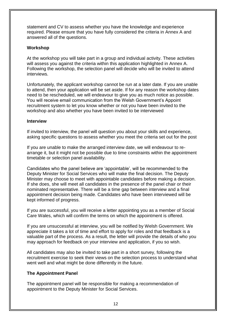statement and CV to assess whether you have the knowledge and experience required. Please ensure that you have fully considered the criteria in Annex A and answered all of the questions.

### **Workshop**

At the workshop you will take part in a group and individual activity. These activities will assess you against the criteria within this application highlighted in Annex A. Following the workshop, the selection panel will decide who will be invited to attend interviews.

Unfortunately, the applicant workshop cannot be run at a later date. If you are unable to attend, then your application will be set aside. If for any reason the workshop dates need to be rescheduled, we will endeavour to give you as much notice as possible. You will receive email communication from the Welsh Government's Appoint recruitment system to let you know whether or not you have been invited to the workshop and also whether you have been invited to be interviewed

### **Interview**

If invited to interview, the panel will question you about your skills and experience, asking specific questions to assess whether you meet the criteria set out for the post

If you are unable to make the arranged interview date, we will endeavour to rearrange it, but it might not be possible due to time constraints within the appointment timetable or selection panel availability.

Candidates who the panel believe are 'appointable', will be recommended to the Deputy Minister for Social Services who will make the final decision. The Deputy Minister may choose to meet with appointable candidates before making a decision. If she does, she will meet all candidates in the presence of the panel chair or their nominated representative. There will be a time gap between interview and a final appointment decision being made. Candidates who have been interviewed will be kept informed of progress.

If you are successful, you will receive a letter appointing you as a member of Social Care Wales, which will confirm the terms on which the appointment is offered.

If you are unsuccessful at interview, you will be notified by Welsh Government. We appreciate it takes a lot of time and effort to apply for roles and that feedback is a valuable part of the process. As a result, the letter will provide the details of who you may approach for feedback on your interview and application, if you so wish.

All candidates may also be invited to take part in a short survey, following the recruitment exercise to seek their views on the selection process to understand what went well and what might be done differently in the future.

# **The Appointment Panel**

The appointment panel will be responsible for making a recommendation of appointment to the Deputy Minister for Social Services.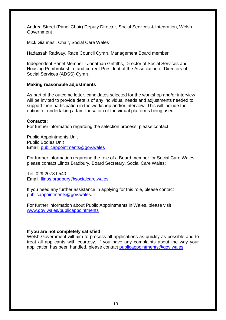Andrea Street (Panel Chair) Deputy Director, Social Services & Integration, Welsh Government

Mick Giannasi, Chair, Social Care Wales

Hadassah Radway, Race Council Cymru Management Board member

Independent Panel Member - Jonathan Griffiths, Director of Social Services and Housing Pembrokeshire and current President of the Association of Directors of Social Services (ADSS) Cymru

#### **Making reasonable adjustments**

As part of the outcome letter, candidates selected for the workshop and/or interview will be invited to provide details of any individual needs and adjustments needed to support their participation in the workshop and/or interview. This will include the option for undertaking a familiarisation of the virtual platforms being used.

#### **Contacts:**

For further information regarding the selection process, please contact:

Public Appointments Unit Public Bodies Unit Email: [publicappointments@gov.wales](mailto:publicappointments@gov.wales)

For further information regarding the role of a Board member for Social Care Wales please contact Llinos Bradbury, Board Secretary, Social Care Wales:

Tel: 029 2078 0540 Email: [llinos.bradbury@socialcare.wales](mailto:llinos.bradbury@socialcare.wales)

If you need any further assistance in applying for this role, please contact [publicappointments@gov.wales.](mailto:publicappointments@gov.wales)

For further information about Public Appointments in Wales, please visit [www.gov.wales/publicappointments](http://www.gov.wales/publicappointments)

#### **If you are not completely satisfied**

Welsh Government will aim to process all applications as quickly as possible and to treat all applicants with courtesy. If you have any complaints about the way your application has been handled, please contact [publicappointments@gov.wales.](mailto:publicappointments@gov.wales)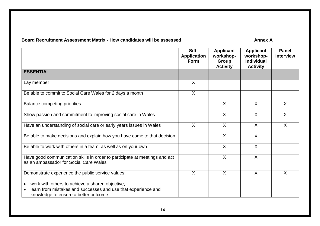# **Board Recruitment Assessment Matrix - How candidates will be assessed <b>Annex A**

|                                                                                                                                                                                    | Sift-<br><b>Application</b><br>Form | <b>Applicant</b><br>workshop-<br>Group<br><b>Activity</b> | <b>Applicant</b><br>workshop-<br><b>Individual</b><br><b>Activity</b> | <b>Panel</b><br><b>Interview</b> |
|------------------------------------------------------------------------------------------------------------------------------------------------------------------------------------|-------------------------------------|-----------------------------------------------------------|-----------------------------------------------------------------------|----------------------------------|
| <b>ESSENTIAL</b>                                                                                                                                                                   |                                     |                                                           |                                                                       |                                  |
| Lay member                                                                                                                                                                         | X                                   |                                                           |                                                                       |                                  |
| Be able to commit to Social Care Wales for 2 days a month                                                                                                                          | $\sf X$                             |                                                           |                                                                       |                                  |
| <b>Balance competing priorities</b>                                                                                                                                                |                                     | $\sf X$                                                   | $\sf X$                                                               | $\sf X$                          |
| Show passion and commitment to improving social care in Wales                                                                                                                      |                                     | $\sf X$                                                   | $\sf X$                                                               | $\sf X$                          |
| Have an understanding of social care or early years issues in Wales                                                                                                                | $\sf X$                             | $\overline{X}$                                            | $\sf X$                                                               | $\overline{X}$                   |
| Be able to make decisions and explain how you have come to that decision                                                                                                           |                                     | X                                                         | $\sf X$                                                               |                                  |
| Be able to work with others in a team, as well as on your own                                                                                                                      |                                     | $\sf X$                                                   | $\sf X$                                                               |                                  |
| Have good communication skills in order to participate at meetings and act<br>as an ambassador for Social Care Wales                                                               |                                     | $\sf X$                                                   | $\sf X$                                                               |                                  |
| Demonstrate experience the public service values:                                                                                                                                  | $\sf X$                             | $\sf X$                                                   | $\sf X$                                                               | $\sf X$                          |
| work with others to achieve a shared objective;<br>$\bullet$<br>learn from mistakes and successes and use that experience and<br>$\bullet$<br>knowledge to ensure a better outcome |                                     |                                                           |                                                                       |                                  |